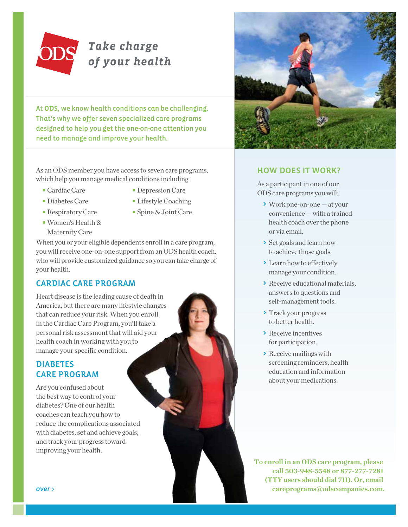

# *Take charge of your health*

At ODS, we know health conditions can be challenging. That's why we offer seven specialized care programs designed to help you get the one-on-one attention you need to manage and improve your health.

As an ODS member you have access to seven care programs, which help you manage medical conditions including:

- 
- Cardiac Care Depression Care
- 
- 
- Diabetes Care Lifestyle Coaching
- Respiratory Care Spine & Joint Care
- Women's Health & Maternity Care
	-

When you or your eligible dependents enroll in a care program, you will receive one-on-one support from an ODS health coach, who will provide customized guidance so you can take charge of your health.

## CARDIAC CARE PROGRAM

Heart disease is the leading cause of death in America, but there are many lifestyle changes that can reduce your risk. When you enroll in the Cardiac Care Program, you'll take a personal risk assessment that will aid your health coach in working with you to manage your specific condition.

## DIABETES CARE PROGRAM

Are you confused about the best way to control your diabetes? One of our health coaches can teach you how to reduce the complications associated with diabetes, set and achieve goals, and track your progress toward improving your health.



## HOW DOES IT WORK?

As a participant in one of our ODS care programs you will:

- > Work one-on-one at your convenience — with a trained health coach over the phone or via email.
- > Set goals and learn how to achieve those goals.
- > Learn how to effectively manage your condition.
- > Receive educational materials, answers to questions and self-management tools.
- > Track your progress to better health.
- > Receive incentives for participation.
- > Receive mailings with screening reminders, health education and information about your medications.

**To enroll in an ODS care program, please call 503-948-5548 or 877-277-7281 (TTY users should dial 711). Or, email**  over > **careprograms@odscompanies.com. careprograms@odscompanies.com.**